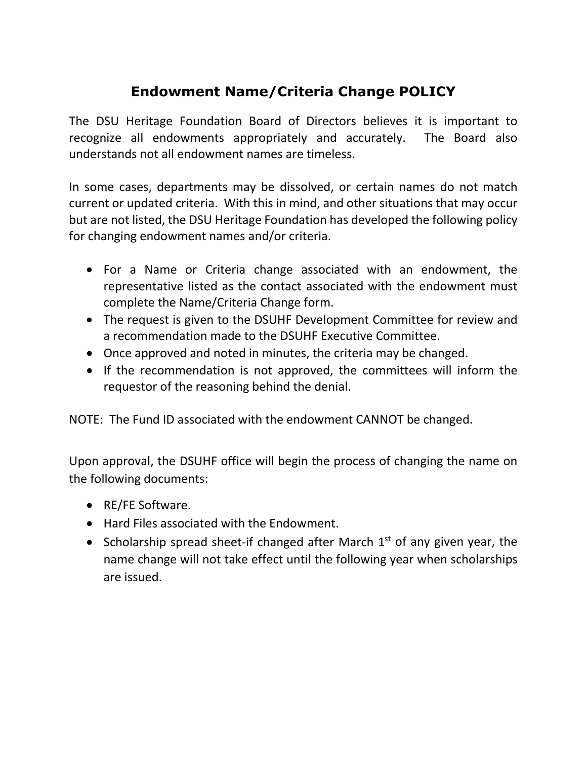## **Endowment Name/Criteria Change POLICY**

The DSU Heritage Foundation Board of Directors believes it is important to recognize all endowments appropriately and accurately. The Board also understands not all endowment names are timeless.

In some cases, departments may be dissolved, or certain names do not match current or updated criteria. With this in mind, and other situations that may occur but are not listed, the DSU Heritage Foundation has developed the following policy for changing endowment names and/or criteria.

- For a Name or Criteria change associated with an endowment, the representative listed as the contact associated with the endowment must complete the Name/Criteria Change form.
- The request is given to the DSUHF Development Committee for review and a recommendation made to the DSUHF Executive Committee.
- Once approved and noted in minutes, the criteria may be changed.
- If the recommendation is not approved, the committees will inform the requestor of the reasoning behind the denial.

NOTE: The Fund ID associated with the endowment CANNOT be changed.

Upon approval, the DSUHF office will begin the process of changing the name on the following documents:

- RE/FE Software.
- Hard Files associated with the Endowment.
- Scholarship spread sheet-if changed after March  $1<sup>st</sup>$  of any given year, the name change will not take effect until the following year when scholarships are issued.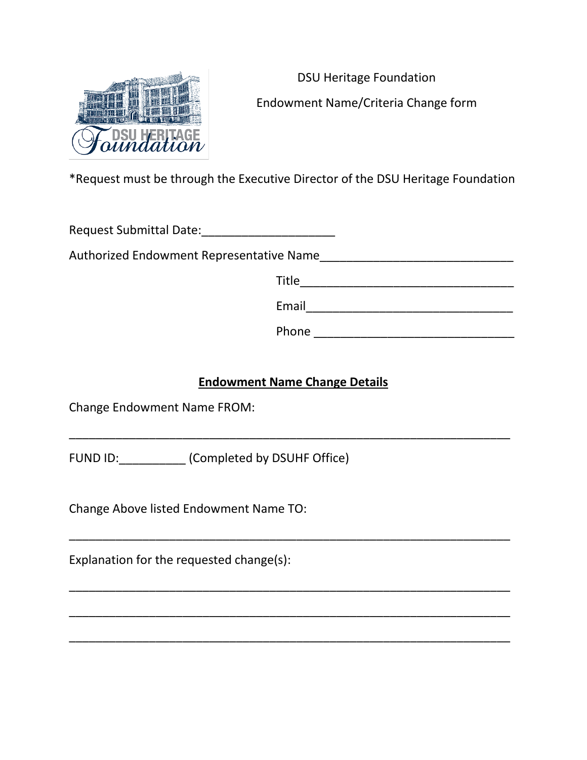

DSU Heritage Foundation Endowment Name/Criteria Change form

\*Request must be through the Executive Director of the DSU Heritage Foundation

Request Submittal Date:

Authorized Endowment Representative Name\_\_\_\_\_\_\_\_\_\_\_\_\_\_\_\_\_\_\_\_\_\_\_\_\_\_\_\_\_

| Title |  |  |  |
|-------|--|--|--|
| Email |  |  |  |

Phone \_\_\_\_\_\_\_\_\_\_\_\_\_\_\_\_\_\_\_\_\_\_\_\_\_\_\_\_\_\_

## **Endowment Name Change Details**

\_\_\_\_\_\_\_\_\_\_\_\_\_\_\_\_\_\_\_\_\_\_\_\_\_\_\_\_\_\_\_\_\_\_\_\_\_\_\_\_\_\_\_\_\_\_\_\_\_\_\_\_\_\_\_\_\_\_\_\_\_\_\_\_\_\_

\_\_\_\_\_\_\_\_\_\_\_\_\_\_\_\_\_\_\_\_\_\_\_\_\_\_\_\_\_\_\_\_\_\_\_\_\_\_\_\_\_\_\_\_\_\_\_\_\_\_\_\_\_\_\_\_\_\_\_\_\_\_\_\_\_\_

\_\_\_\_\_\_\_\_\_\_\_\_\_\_\_\_\_\_\_\_\_\_\_\_\_\_\_\_\_\_\_\_\_\_\_\_\_\_\_\_\_\_\_\_\_\_\_\_\_\_\_\_\_\_\_\_\_\_\_\_\_\_\_\_\_\_

\_\_\_\_\_\_\_\_\_\_\_\_\_\_\_\_\_\_\_\_\_\_\_\_\_\_\_\_\_\_\_\_\_\_\_\_\_\_\_\_\_\_\_\_\_\_\_\_\_\_\_\_\_\_\_\_\_\_\_\_\_\_\_\_\_\_

\_\_\_\_\_\_\_\_\_\_\_\_\_\_\_\_\_\_\_\_\_\_\_\_\_\_\_\_\_\_\_\_\_\_\_\_\_\_\_\_\_\_\_\_\_\_\_\_\_\_\_\_\_\_\_\_\_\_\_\_\_\_\_\_\_\_

Change Endowment Name FROM:

FUND ID: (Completed by DSUHF Office)

Change Above listed Endowment Name TO:

Explanation for the requested change(s):